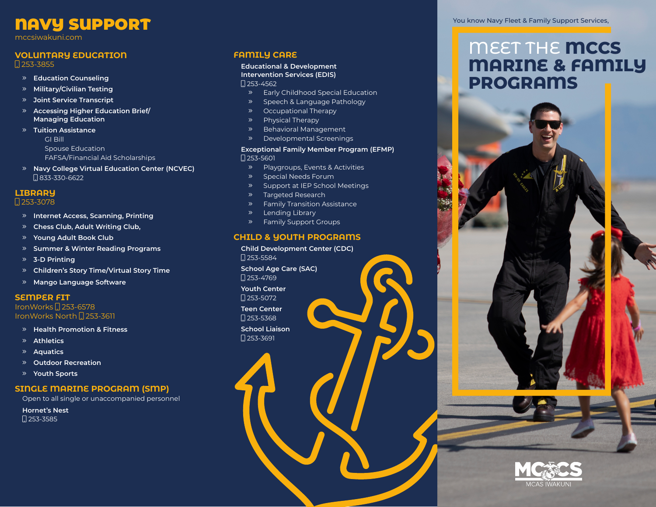# NAVY SUPPORT

mccsiwakuni.com

## **VOLUNTARY EDUCATION**

**Q253-3855** 

- **Education Counseling**
- **Military/Civilian Testing**
- **Joint Service Transcript**
- **Accessing Higher Education Brief/ Managing Education**
- **Tuition Assistance** GI Bill Spouse Education
	- FAFSA/Financial Aid Scholarships
- **Navy College Virtual Education Center (NCVEC)** 833-330-6622

# **LIBRARY**

#### 1253-3078

- **Internet Access, Scanning, Printing**
- **Chess Club, Adult Writing Club,**
- **Young Adult Book Club**
- **Summer & Winter Reading Programs**
- **3-D Printing**
- **Children's Story Time/Virtual Story Time**
- **Mango Language Software**

#### **SEMPER FIT**

IronWorks 253-6578 IronWorks North [] 253-3611

- **Health Promotion & Fitness**
- **Athletics**
- **Aquatics**
- **Outdoor Recreation**
- **Youth Sports**

## **SINGLE MARINE PROGRAM (SMP)**

Open to all single or unaccompanied personnel

**Hornet's Nest**  $\square$  253-3585

# **FAMILY CARE**

#### **Educational & Development Intervention Services (EDIS)**  $\Box$  253-4562

- Early Childhood Special Education
- » Speech & Language Pathology
- Occupational Therapy
- Physical Therapy
- » Behavioral Management
- Developmental Screenings

#### **Exceptional Family Member Program (EFMP)**  $1253 - 5601$

- Playgroups, Events & Activities
- » Special Needs Forum
- » Support at IEP School Meetings
- » Targeted Research
- Family Transition Assistance
- Lending Library
- Family Support Groups

## **CHILD & YOUTH PROGRAMS**

**Child Development Center (CDC)**   $\Box$  253-5584

**School Age Care (SAC)**   $\Box$  253-4769

**Youth Center** 

1253-5072

**Teen Center**   $\square$  253-5368

**School Liaison**   $[$  253-3691



# MEET THE **MCCS MARINE & FAMILY PROGRAMS**